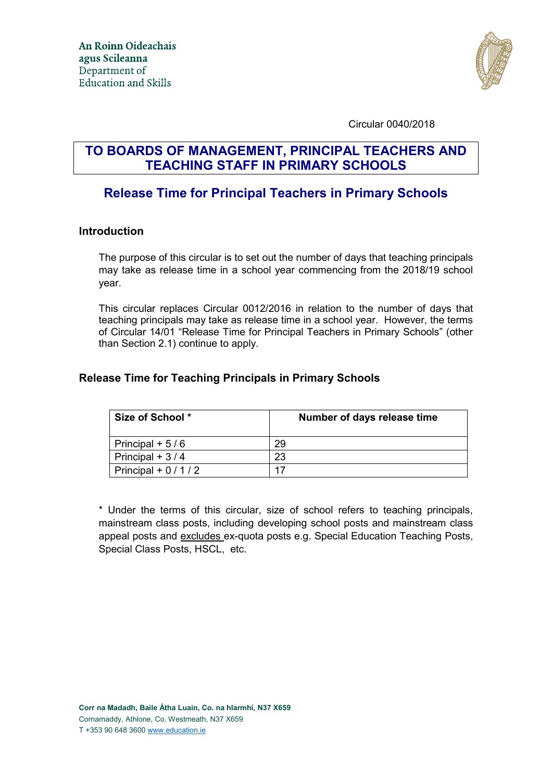

Circular 0040/2018

# **TO BOARDS OF MANAGEMENT, PRINCIPAL TEACHERS AND TEACHING STAFF IN PRIMARY SCHOOLS**

## **Release Time for Principal Teachers in Primary Schools**

#### **Introduction**

The purpose of this circular is to set out the number of days that teaching principals may take as release time in a school year commencing from the 2018/19 school year.

This circular replaces Circular 0012/2016 in relation to the number of days that teaching principals may take as release time in a school year. However, the terms of Circular 14/01 "Release Time for Principal Teachers in Primary Schools" (other than Section 2.1) continue to apply.

#### **Release Time for Teaching Principals in Primary Schools**

| Size of School *    | Number of days release time |
|---------------------|-----------------------------|
| Principal + $5/6$   | 29                          |
| Principal + $3/4$   | 23                          |
| Principal + $0/1/2$ |                             |

\* Under the terms of this circular, size of school refers to teaching principals, mainstream class posts, including developing school posts and mainstream class appeal posts and excludes ex-quota posts e.g. Special Education Teaching Posts, Special Class Posts, HSCL, etc.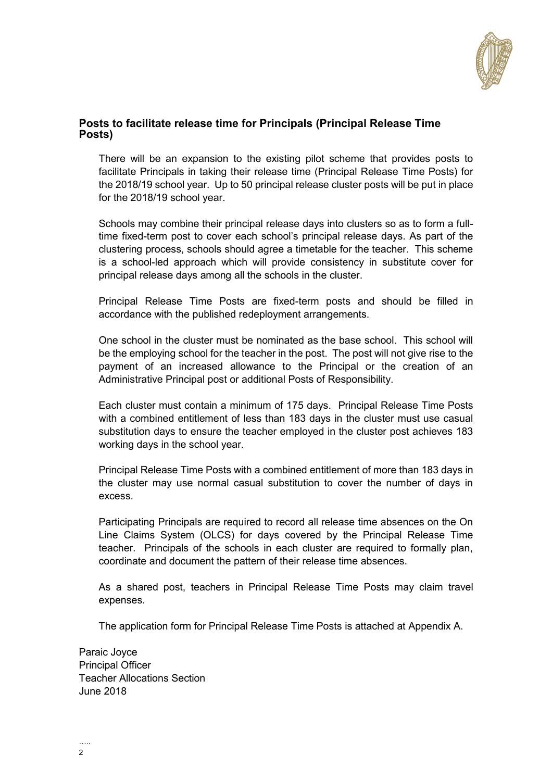

#### **Posts to facilitate release time for Principals (Principal Release Time Posts)**

There will be an expansion to the existing pilot scheme that provides posts to facilitate Principals in taking their release time (Principal Release Time Posts) for the 2018/19 school year. Up to 50 principal release cluster posts will be put in place for the 2018/19 school year.

Schools may combine their principal release days into clusters so as to form a fulltime fixed-term post to cover each school's principal release days. As part of the clustering process, schools should agree a timetable for the teacher. This scheme is a school-led approach which will provide consistency in substitute cover for principal release days among all the schools in the cluster.

Principal Release Time Posts are fixed-term posts and should be filled in accordance with the published redeployment arrangements.

One school in the cluster must be nominated as the base school. This school will be the employing school for the teacher in the post. The post will not give rise to the payment of an increased allowance to the Principal or the creation of an Administrative Principal post or additional Posts of Responsibility.

Each cluster must contain a minimum of 175 days. Principal Release Time Posts with a combined entitlement of less than 183 days in the cluster must use casual substitution days to ensure the teacher employed in the cluster post achieves 183 working days in the school year.

Principal Release Time Posts with a combined entitlement of more than 183 days in the cluster may use normal casual substitution to cover the number of days in excess.

Participating Principals are required to record all release time absences on the On Line Claims System (OLCS) for days covered by the Principal Release Time teacher. Principals of the schools in each cluster are required to formally plan, coordinate and document the pattern of their release time absences.

As a shared post, teachers in Principal Release Time Posts may claim travel expenses.

The application form for Principal Release Time Posts is attached at Appendix A.

Paraic Joyce Principal Officer Teacher Allocations Section June 2018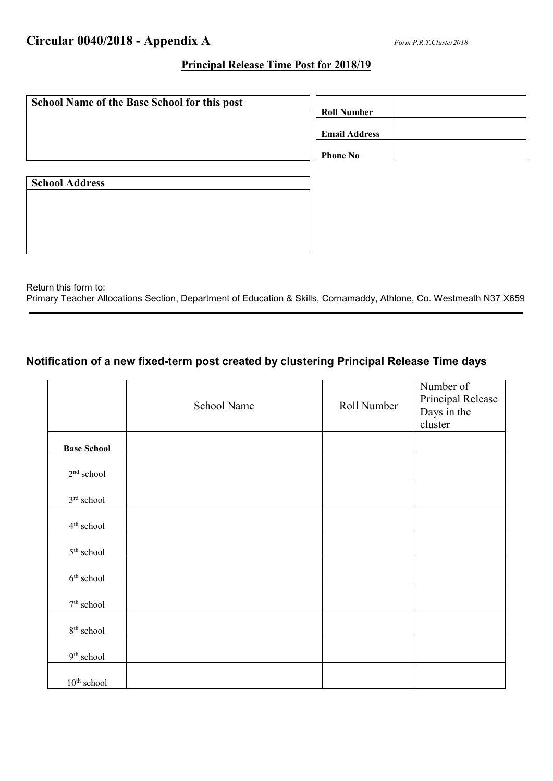#### **Principal Release Time Post for 2018/19**

| <b>School Name of the Base School for this post</b> |                      |  |
|-----------------------------------------------------|----------------------|--|
|                                                     | <b>Roll Number</b>   |  |
|                                                     |                      |  |
|                                                     | <b>Email Address</b> |  |
|                                                     |                      |  |
|                                                     | <b>Phone No</b>      |  |
|                                                     |                      |  |

| <b>School Address</b> |  |  |  |
|-----------------------|--|--|--|
|                       |  |  |  |
|                       |  |  |  |
|                       |  |  |  |
|                       |  |  |  |
|                       |  |  |  |

Return this form to: Primary Teacher Allocations Section, Department of Education & Skills, Cornamaddy, Athlone, Co. Westmeath N37 X659

## **Notification of a new fixed-term post created by clustering Principal Release Time days**

|                        | School Name | Roll Number | Number of<br>Principal Release<br>Days in the<br>cluster |
|------------------------|-------------|-------------|----------------------------------------------------------|
| <b>Base School</b>     |             |             |                                                          |
| $2^{\rm nd}$ school    |             |             |                                                          |
| $3^{\rm rd}$ school    |             |             |                                                          |
| 4 <sup>th</sup> school |             |             |                                                          |
| $5^{\rm th}$ school    |             |             |                                                          |
| $6^{\rm th}$ school    |             |             |                                                          |
| $7^{\rm th}$ school    |             |             |                                                          |
| $8^{\rm th}$ school    |             |             |                                                          |
| $9^{\rm th}$ school    |             |             |                                                          |
| $10th$ school          |             |             |                                                          |